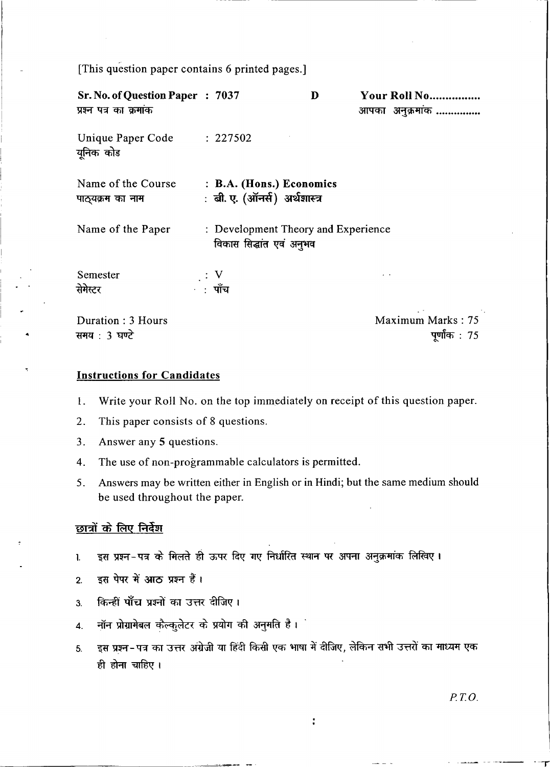[This question paper contains 6 printed pages.]

| Sr. No. of Question Paper : 7037<br>प्रश्न पत्र का क्रमांक |                                                                 | D | Your Roll No<br>आपका अनुक्रमांक |
|------------------------------------------------------------|-----------------------------------------------------------------|---|---------------------------------|
| Unique Paper Code<br>युनिक कोड                             | : 227502                                                        |   |                                 |
| Name of the Course<br>पाठ्यक्रम का नाम                     | : B.A. (Hons.) Economics<br>: बी. ए. (ऑनर्स) अर्थशास्त्र        |   |                                 |
| Name of the Paper                                          | : Development Theory and Experience<br>विकास सिद्धांत एवं अनुभव |   |                                 |
| Semester<br>सेमेस्टर                                       | ः ∨<br>⊖: पाँच                                                  |   |                                 |
| Duration $\cdot$ 3 Hours                                   |                                                                 |   | Maximum Marks: 75               |

**Instructions for Candidates** 

समय: 3 घण्टे

- 1. Write your Roll No. on the top immediately on receipt of this question paper.
- $2.$ This paper consists of 8 questions.
- 3. Answer any 5 questions.
- $4.$ The use of non-programmable calculators is permitted.
- Answers may be written either in English or in Hindi; but the same medium should 5. be used throughout the paper.

## छात्रों के लिए निर्देश

- इस प्रश्न-पत्र के मिलते ही ऊपर दिए गए निर्धारित स्थान पर अपना अनुक्रमांक लिखिए।  $\mathbf{l}$
- इस पेपर में आठ प्रश्न हैं।  $2.$
- किन्हीं पाँच प्रश्नों का उत्तर दीजिए।  $3.$
- नॉन प्रोग्रामेबल कैल्कुलेटर के प्रयोग की अनुमति है।  $\overline{\mathbf{4}}$ .
- इस प्रश्न-पत्र का उत्तर अंग्रेजी या हिंदी किसी एक भाषा में दीजिए, लेकिन सभी उत्तरों का माध्यम एक 5. ही होना चाहिए।

 $\ddot{\cdot}$ 

 $P.T.O.$ 

पूर्णांक : 75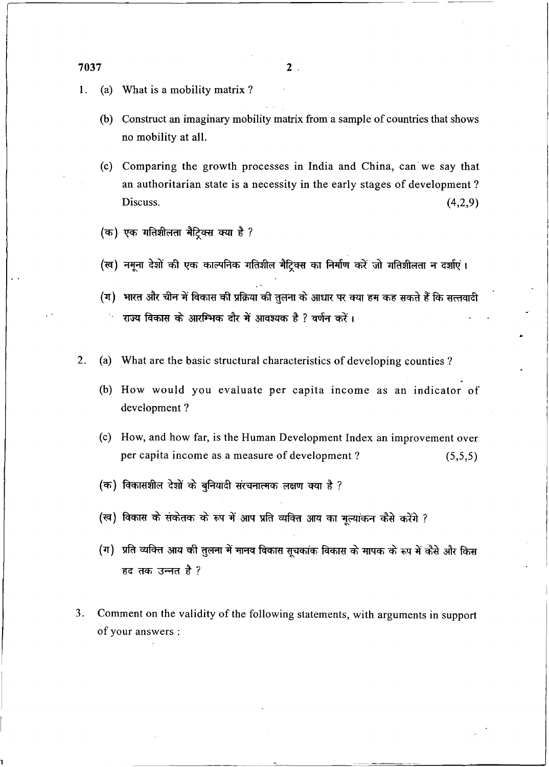- 1. (a) What is a mobility matrix ?
	- (b) Construct an imaginary mobility matrix from a sample of countries that shows no mobility at all.
	- (c) Comparing the growth processes in India and China, can· we say that an authoritarian state is a necessity in the early stages of development ?  $Discuss.$  (4,2,9)
	- (क) एक गतिशीलता मैटिक्स क्या है ?
	- (ख) नमना देशों की एक काल्पनिक गतिशील मैटिक्स का निर्माण करें जो गतिशीलता न दर्शाएं।
	- (ग) भारत और चीन में विकास की प्रक्रिया की तुलना के आधार पर क्या हम कह सकते हैं कि सत्तवादी राज्य विकास के आरम्भिक दौर में आवश्यक है ? वर्णन करें।
- 2. (a) What are the basic structural characteristics of developing counties?
	- (b) How would you evaluate per capita income as an indicator of development ?
	- (c) How, and how far, is the Human Development Index an improvement over per capita income as a measure of development ? (5,5,5)
	- (क) विकासशील देशों के बुनियादी संरचनात्मक लक्षण क्या है ?
	- (ख) विकास के संकेतक के रूप में आप प्रति व्यक्ति आय का मुल्यांकन कैसे करेंगे ?
	- (ग) प्रति व्यक्ति आय की तुलना में मानव विकास सुचकांक विकास के मापक के रूप में कैसे और किस हद तक उन्नत है ?
- 3. Comment on the validity of the following statements, with arguments in support of your answers :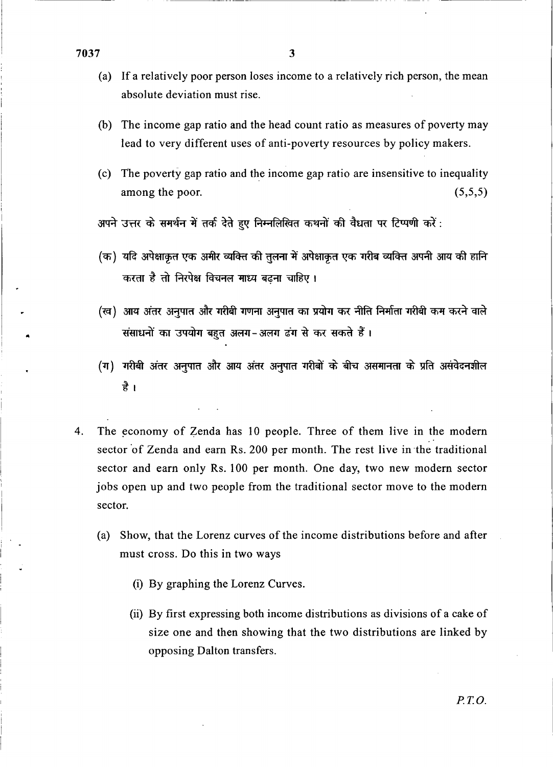..

- (a) If a relatively poor person loses income to a relatively rich person, the mean absolute deviation must rise.
- (b) The income gap ratio and the head count ratio as measures of poverty may lead to very different uses of anti-poverty resources by policy makers.
- (c) *The* poverty gap ratio and the income gap ratio are insensitive to inequality among the poor. (5,5,5)

अपने उत्तर के समर्थन में तर्क देते हुए निम्नलिखित कथनों की वैधता पर टिप्पणी करें:

- (क) यदि अपेक्षाकृत एक अमीर व्यक्ति की तुलना में अपेक्षाकृत एक गरीब व्यक्ति अपनी आय की हानि करता है तो निरपेक्ष विचनल माध्य बढना चाहिए।
- (ख) आय अंतर अनुपात और गरीबी गणना अनुपात का प्रयोग कर नीति निर्माता गरीबी कम करने वाले संसाधनों का उपयोग बहुत अलग-अलग ढंग से कर सकते हैं।
- (ग) गरीबी अंतर अनुपात और आय अंतर अनुपात गरीबों के बीच असमानता के प्रति असंवेदनशील है ।
- 4. The economy of Zenda has 10 people. Three of them live in the modern sector of Zenda and earn Rs. 200 per month. The rest live in the traditional sector and earn only Rs. 100 per month. One day, two new modern sector jobs open up and two people from the traditional sector move to the modern sector.
	- (a) Show, that the Lorenz curves of the income distributions before and after must cross. Do this in two ways
		- (i) By graphing the Lorenz Curves.
		- (ii) By first expressing both income distributions as divisions of a cake of size one and then showing that the two distributions are linked by opposing Dalton transfers.

*PT.O.*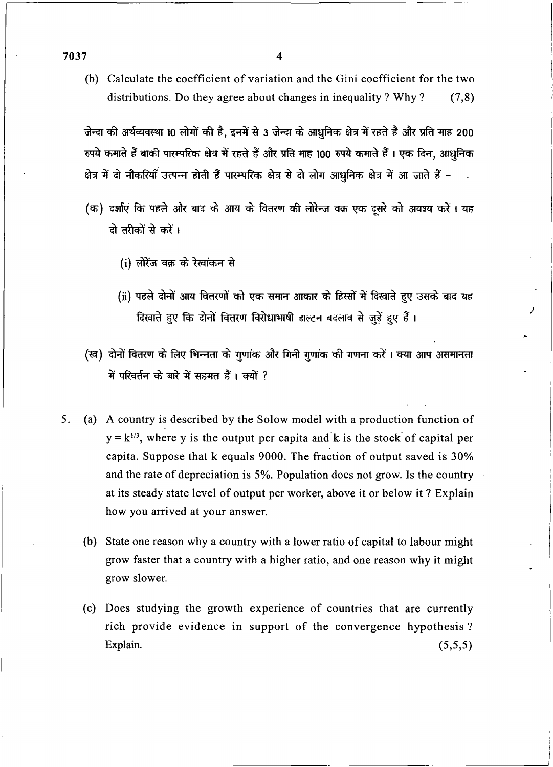(b) Calculate the coefficient of variation and the Gini coefficient for the two distributions. Do they agree about changes in inequality? Why?  $(7.8)$ 

जेन्दा की अर्थव्यवस्था 10 लोगों की है, इनमें से 3 जेन्दा के आधुनिक क्षेत्र में रहते है और प्रति माह 200 रुपये कमाते हैं बाकी पारम्परिक क्षेत्र में रहते हैं और प्रति माह 100 रुपये कमाते हैं । एक दिन, आधनिक क्षेत्र में दो नौकरियाँ उत्पन्न होती हैं पारम्परिक क्षेत्र से दो लोग आधुनिक क्षेत्र में आ जाते हैं -

- (क) दर्शाएं कि पहले और बाद के आय के वितरण की लोरेन्ज वक्र एक दूसरे को अवश्य करें। यह <u>दो तरीकों से करें।</u>
	- (i) लोरेंज वक्र के रेखांकन से
	- (ii) पहले दोनों आय वितरणों को एक समान आकार के हिस्सों में दिखाते हुए उसके बाद यह दिखाते हुए कि दोनों वितरण विरोधाभाषी डाल्टन बदलाव से जुड़ें हुए हैं।

*)* 

..

- (ख) दोनों वितरण के लिए भिन्नता के गुणांक और गिनी गुणांक की गणना करें। क्या आप असमानता में परिवर्तन के बारे में सहमत हैं। क्यों ?
- 5. (a) A country is described by the Solow model with a production function of  $y = k^{1/3}$ , where y is the output per capita and k is the stock of capital per capita. Suppose that k equals 9000. The fraction of output saved is 30% and the rate of depreciation is 5%. Population does not grow. Is the country at its steady state level of output per worker, above it or below it ? Explain how you arrived at your answer.
	- (b) State one reason why a country with a lower ratio of capital to labour might grow faster that a country with a higher ratio, and one reason why it might grow slower.
	- (c) Does studying the growth expenence of countries that are currently rich provide evidence in support of the convergence hypothesis ? Explain.  $(5,5,5)$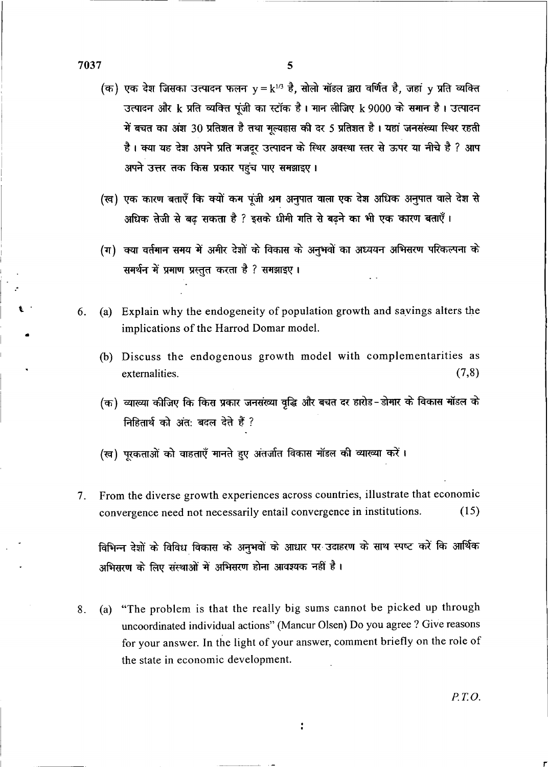$7037$  5

 $({\bf \overline a})$  एक देश जिसका उत्पादन फलन  ${\bf y} = {\bf k}^1$  $^{\prime\prime}$  है, सोलो मॉडल द्वारा वर्णित है, जहां y प्रति व्यक्ति उत्पादन और k प्रति व्यक्ति पूंजी का स्टॉक है। मान लीजिए k 9000 के समान है। उत्पादन में बचत का अंश 30 प्रतिशत है तथा मृत्यहास की दर 5 प्रतिशत है। यहां जनसंख्या स्थिर रहती है। क्या यह देश अपने प्रति मजदूर उत्पादन के स्थिर अवस्था स्तर से ऊपर या नीचे है ? आप

- (ख) एक कारण बताएँ कि क्यों कम पूंजी श्रम अनुपात वाला एक देश अधिक अनुपात वाले देश से अधिक तेजी से बढ सकता है ? इसके धीमी गति से बढने का भी एक कारण बताएँ।
- (ग) क्या वर्तमान समय में अमीर देशों के विकास के अनुभवों का अध्ययन अभिसरण परिकल्पना के समर्थन में प्रमाण प्रस्तुत करता है ? समझाइए।
- 6. (a) Explain why the endogeneity of population growth and sayings alters the implications of the Harrod Domar model.
	- (b) Discuss the endogenous growth model with complementarities as externalities. (7,8)
	- (क) व्याख्या कीजिए कि किस प्रकार जनसंख्या वृद्धि और बचत दर हारोड-डोमार के विकास मॉडल के **निहितार्थ को अंत: बदल देते हैं ?**
	- (ख) परकताओं को वाहताएँ मानते हुए अंतर्जात विकास मॉडल की व्याख्या करें।
- 7. From the diverse growth experiences across countries, illustrate that economic convergence need not necessarily entail convergence in institutions. (15)

विभिन्न देशों के विविध विकास के अनुभवों के आधार पर उदाहरण के साथ स्पष्ट करें कि आर्थिक अभिसरण के लिए संस्थाओं में अभिसरण होना आवश्यक नहीं है।

8. (a) "The problem is that the really big sums cannot be picked up through uncoordinated individual actions" (Mancur Olsen) Do you agree ? Give reasons for your answer. In the light of your answer, comment briefly on the role of the state in economic development.

 $\ddot{\cdot}$ 

 $P.T.O.$ 

r